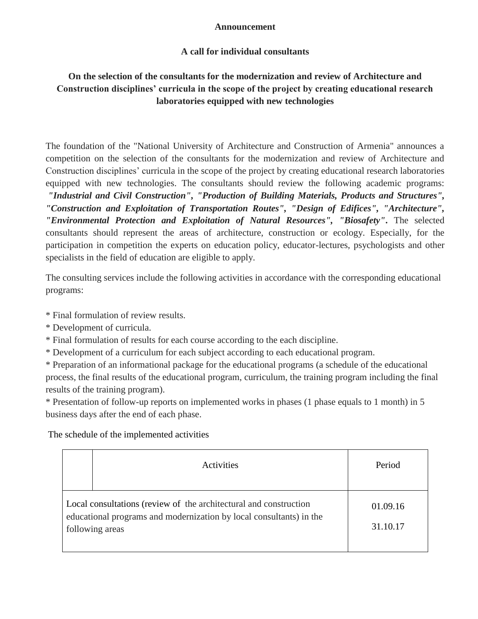### **Announcement**

## **A call for individual consultants**

# **On the selection of the consultants for the modernization and review of Architecture and Construction disciplines' curricula in the scope of the project by creating educational research laboratories equipped with new technologies**

The foundation of the "National University of Architecture and Construction of Armenia" announces a competition on the selection of the consultants for the modernization and review of Architecture and Construction disciplines' curricula in the scope of the project by creating educational research laboratories equipped with new technologies. The consultants should review the following academic programs: *"Industrial and Civil Construction", "Production of Building Materials, Products and Structures", "Construction and Exploitation of Transportation Routes", "Design of Edifices", "Architecture", "Environmental Protection and Exploitation of Natural Resources", "Biosafety"***.** The selected consultants should represent the areas of architecture, construction or ecology. Especially, for the participation in competition the experts on education policy, educator-lectures, psychologists and other specialists in the field of education are eligible to apply.

The consulting services include the following activities in accordance with the corresponding educational programs:

\* Final formulation of review results.

- \* Development of curricula.
- \* Final formulation of results for each course according to the each discipline.
- \* Development of a curriculum for each subject according to each educational program.

\* Preparation of an informational package for the educational programs (a schedule of the educational process, the final results of the educational program, curriculum, the training program including the final results of the training program).

\* Presentation of follow-up reports on implemented works in phases (1 phase equals to 1 month) in 5 business days after the end of each phase.

The schedule of the implemented activities

| Activities                                                                                                                                                  | Period               |
|-------------------------------------------------------------------------------------------------------------------------------------------------------------|----------------------|
| Local consultations (review of the architectural and construction<br>educational programs and modernization by local consultants) in the<br>following areas | 01.09.16<br>31.10.17 |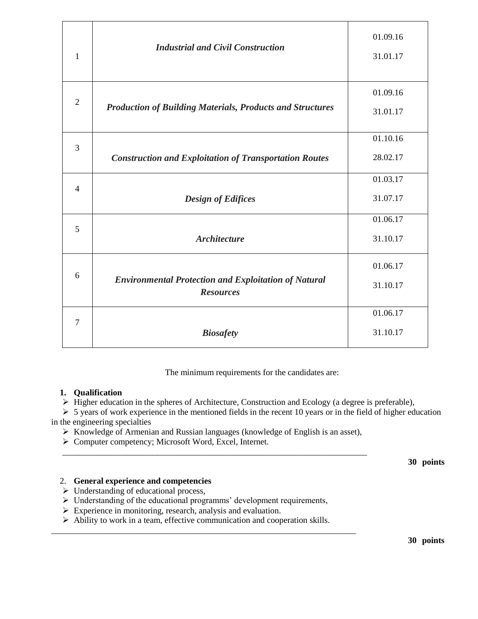| 1              | <b>Industrial and Civil Construction</b>                                        | 01.09.16<br>31.01.17 |
|----------------|---------------------------------------------------------------------------------|----------------------|
| $\overline{2}$ | <b>Production of Building Materials, Products and Structures</b>                | 01.09.16<br>31.01.17 |
| $\overline{3}$ | <b>Construction and Exploitation of Transportation Routes</b>                   | 01.10.16<br>28.02.17 |
| $\overline{4}$ | <b>Design of Edifices</b>                                                       | 01.03.17<br>31.07.17 |
| 5              | <b>Architecture</b>                                                             | 01.06.17<br>31.10.17 |
| 6              | <b>Environmental Protection and Exploitation of Natural</b><br><b>Resources</b> | 01.06.17<br>31.10.17 |
| 7              | <b>Biosafety</b>                                                                | 01.06.17<br>31.10.17 |

The minimum requirements for the candidates are:

#### **1. Qualification**

 $\triangleright$  Higher education in the spheres of Architecture, Construction and Ecology (a degree is preferable),

 $\geq$  5 years of work experience in the mentioned fields in the recent 10 years or in the field of higher education in the engineering specialties

 $\triangleright$  Knowledge of Armenian and Russian languages (knowledge of English is an asset),

\_\_\_\_\_\_\_\_\_\_\_\_\_\_\_\_\_\_\_\_\_\_\_\_\_\_\_\_\_\_\_\_\_\_\_\_\_\_\_\_\_\_\_\_\_\_\_\_\_\_\_\_\_\_\_\_\_\_\_\_\_\_\_\_\_\_\_\_\_\_\_

▶ Computer competency; Microsoft Word, Excel, Internet.

**30 points**

#### 2. **General experience and competencies**

- $\triangleright$  Understanding of educational process,
- $\triangleright$  Understanding of the educational programms' development requirements,
- $\triangleright$  Experience in monitoring, research, analysis and evaluation.
- Ability to work in a team, effective communication and cooperation skills.

\_\_\_\_\_\_\_\_\_\_\_\_\_\_\_\_\_\_\_\_\_\_\_\_\_\_\_\_\_\_\_\_\_\_\_\_\_\_\_\_\_\_\_\_\_\_\_\_\_\_\_\_\_\_\_\_\_\_\_\_\_\_\_\_\_\_\_\_\_\_\_

**30 points**